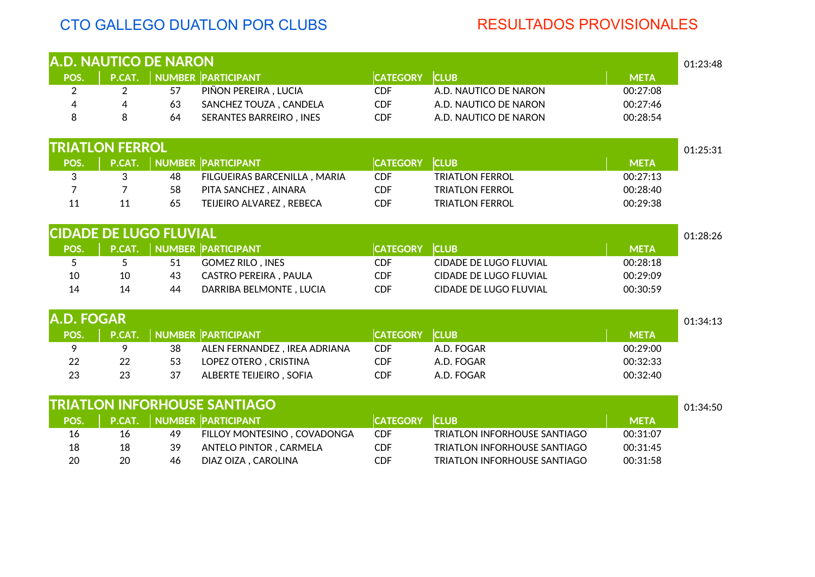## CTO GALLEGO DUATLON POR CLUBS RESULTADOS PROVISIONALES

| <b>A.D. NAUTICO DE NARON</b>  |                |    |                                     |                 |                                     |             | 01:23:48 |
|-------------------------------|----------------|----|-------------------------------------|-----------------|-------------------------------------|-------------|----------|
| POS.                          | $P.$ CAT.      |    | <b>NUMBER PARTICIPANT</b>           | <b>CATEGORY</b> | <b>CLUB</b>                         | <b>META</b> |          |
| 2                             | $\overline{2}$ | 57 | PIÑON PEREIRA, LUCIA                | <b>CDF</b>      | A.D. NAUTICO DE NARON               | 00:27:08    |          |
| 4                             | 4              | 63 | SANCHEZ TOUZA, CANDELA              | <b>CDF</b>      | A.D. NAUTICO DE NARON               | 00:27:46    |          |
| 8                             | 8              | 64 | <b>SERANTES BARREIRO, INES</b>      | <b>CDF</b>      | A.D. NAUTICO DE NARON               | 00:28:54    |          |
| <b>TRIATLON FERROL</b>        |                |    |                                     |                 |                                     |             | 01:25:31 |
| POS.                          | P.CAT.         |    | <b>NUMBER PARTICIPANT</b>           | <b>CATEGORY</b> | <b>CLUB</b>                         | <b>META</b> |          |
| 3                             | 3              | 48 | FILGUEIRAS BARCENILLA, MARIA        | <b>CDF</b>      | <b>TRIATLON FERROL</b>              | 00:27:13    |          |
| 7                             | 7              | 58 | PITA SANCHEZ, AINARA                | <b>CDF</b>      | <b>TRIATLON FERROL</b>              | 00:28:40    |          |
| 11                            | 11             | 65 | TEIJEIRO ALVAREZ, REBECA            | <b>CDF</b>      | <b>TRIATLON FERROL</b>              | 00:29:38    |          |
|                               |                |    |                                     |                 |                                     |             |          |
| <b>CIDADE DE LUGO FLUVIAL</b> |                |    |                                     |                 |                                     |             | 01:28:26 |
| POS.                          | P.CAT.         |    | <b>NUMBER PARTICIPANT</b>           | <b>CATEGORY</b> | <b>CLUB</b>                         | <b>META</b> |          |
| 5                             | 5              | 51 | <b>GOMEZ RILO, INES</b>             | <b>CDF</b>      | <b>CIDADE DE LUGO FLUVIAL</b>       | 00:28:18    |          |
| 10                            | 10             | 43 | <b>CASTRO PEREIRA, PAULA</b>        | <b>CDF</b>      | CIDADE DE LUGO FLUVIAL              | 00:29:09    |          |
| 14                            | 14             | 44 | DARRIBA BELMONTE, LUCIA             | <b>CDF</b>      | CIDADE DE LUGO FLUVIAL              | 00:30:59    |          |
| <b>A.D. FOGAR</b>             |                |    |                                     |                 |                                     |             | 01:34:13 |
| POS.                          | P.CAT.         |    | <b>NUMBER PARTICIPANT</b>           | <b>CATEGORY</b> | <b>CLUB</b>                         | <b>META</b> |          |
| 9                             | 9              | 38 | ALEN FERNANDEZ, IREA ADRIANA        | <b>CDF</b>      | A.D. FOGAR                          | 00:29:00    |          |
| 22                            | 22             | 53 | LOPEZ OTERO, CRISTINA               | <b>CDF</b>      | A.D. FOGAR                          | 00:32:33    |          |
| 23                            | 23             | 37 | ALBERTE TEIJEIRO, SOFIA             | <b>CDF</b>      | A.D. FOGAR                          | 00:32:40    |          |
|                               |                |    | <b>TRIATLON INFORHOUSE SANTIAGO</b> |                 |                                     |             | 01:34:50 |
| POS.                          | P.CAT.         |    | <b>NUMBER PARTICIPANT</b>           | <b>CATEGORY</b> | <b>CLUB</b>                         | <b>META</b> |          |
| 16                            | 16             | 49 | FILLOY MONTESINO, COVADONGA         | <b>CDF</b>      | <b>TRIATLON INFORHOUSE SANTIAGO</b> | 00:31:07    |          |
| 18                            | 18             | 39 | ANTELO PINTOR, CARMELA              | <b>CDF</b>      | <b>TRIATLON INFORHOUSE SANTIAGO</b> | 00:31:45    |          |
| 20                            | 20             | 46 | DIAZ OIZA, CAROLINA                 | <b>CDF</b>      | <b>TRIATLON INFORHOUSE SANTIAGO</b> | 00:31:58    |          |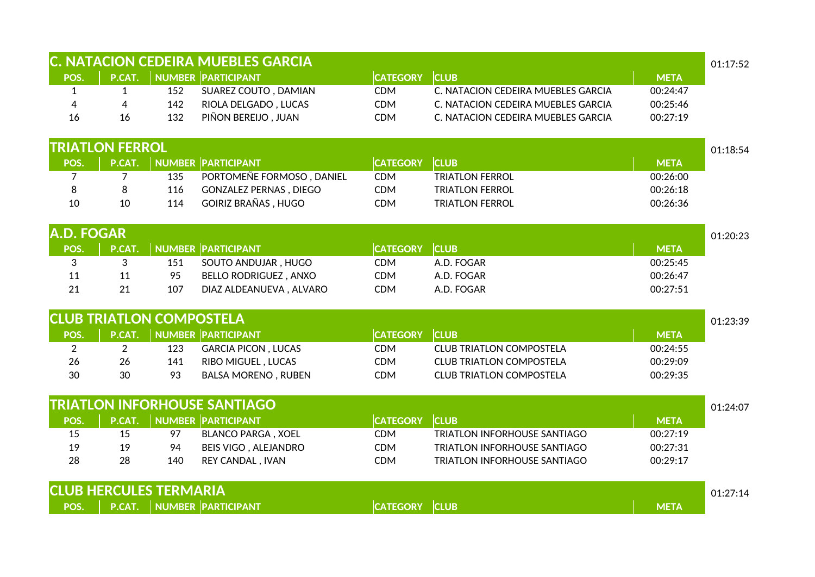|                |                                 |     | <b>C. NATACION CEDEIRA MUEBLES GARCIA</b> |                 |                                     |             | 01:17:52 |
|----------------|---------------------------------|-----|-------------------------------------------|-----------------|-------------------------------------|-------------|----------|
| POS.           | P.CAT.                          |     | <b>NUMBER PARTICIPANT</b>                 | <b>CATEGORY</b> | <b>CLUB</b>                         | <b>META</b> |          |
| $\mathbf{1}$   | $\mathbf{1}$                    | 152 | SUAREZ COUTO, DAMIAN                      | <b>CDM</b>      | C. NATACION CEDEIRA MUEBLES GARCIA  | 00:24:47    |          |
| 4              | $\overline{4}$                  | 142 | RIOLA DELGADO, LUCAS                      | <b>CDM</b>      | C. NATACION CEDEIRA MUEBLES GARCIA  | 00:25:46    |          |
| 16             | 16                              | 132 | PIÑON BEREIJO, JUAN                       | <b>CDM</b>      | C. NATACION CEDEIRA MUEBLES GARCIA  | 00:27:19    |          |
|                | <b>TRIATLON FERROL</b>          |     |                                           |                 |                                     |             | 01:18:54 |
| POS.           | P.CAT.                          |     | <b>NUMBER PARTICIPANT</b>                 | <b>CATEGORY</b> | <b>CLUB</b>                         | <b>META</b> |          |
| $\overline{7}$ | 7                               | 135 | PORTOMEÑE FORMOSO, DANIEL                 | <b>CDM</b>      | <b>TRIATLON FERROL</b>              | 00:26:00    |          |
| 8              | 8                               | 116 | <b>GONZALEZ PERNAS, DIEGO</b>             | <b>CDM</b>      | <b>TRIATLON FERROL</b>              | 00:26:18    |          |
| 10             | 10                              | 114 | <b>GOIRIZ BRAÑAS, HUGO</b>                | <b>CDM</b>      | <b>TRIATLON FERROL</b>              | 00:26:36    |          |
| A.D. FOGAR     |                                 |     |                                           |                 |                                     |             | 01:20:23 |
| POS.           | P.CAT.                          |     | <b>NUMBER PARTICIPANT</b>                 | <b>CATEGORY</b> | <b>CLUB</b>                         | <b>META</b> |          |
| 3              | 3                               | 151 | SOUTO ANDUJAR, HUGO                       | <b>CDM</b>      | A.D. FOGAR                          | 00:25:45    |          |
| 11             | 11                              | 95  | <b>BELLO RODRIGUEZ, ANXO</b>              | <b>CDM</b>      | A.D. FOGAR                          | 00:26:47    |          |
| 21             | 21                              | 107 | DIAZ ALDEANUEVA, ALVARO                   | <b>CDM</b>      | A.D. FOGAR                          | 00:27:51    |          |
|                | <b>CLUB TRIATLON COMPOSTELA</b> |     |                                           |                 |                                     |             | 01:23:39 |
| POS.           | P.CAT.                          |     | <b>NUMBER PARTICIPANT</b>                 | <b>CATEGORY</b> | <b>CLUB</b>                         | <b>META</b> |          |
| $\overline{2}$ | $\overline{2}$                  | 123 | <b>GARCIA PICON, LUCAS</b>                | <b>CDM</b>      | <b>CLUB TRIATLON COMPOSTELA</b>     | 00:24:55    |          |
| 26             | 26                              | 141 | RIBO MIGUEL, LUCAS                        | <b>CDM</b>      | <b>CLUB TRIATLON COMPOSTELA</b>     | 00:29:09    |          |
| 30             | 30                              | 93  | <b>BALSA MORENO, RUBEN</b>                | <b>CDM</b>      | <b>CLUB TRIATLON COMPOSTELA</b>     | 00:29:35    |          |
|                |                                 |     | <b>TRIATLON INFORHOUSE SANTIAGO</b>       |                 |                                     |             | 01:24:07 |
| POS.           | P.CAT.                          |     | <b>NUMBER PARTICIPANT</b>                 | <b>CATEGORY</b> | <b>CLUB</b>                         | <b>META</b> |          |
| 15             | 15                              | 97  | <b>BLANCO PARGA, XOEL</b>                 | <b>CDM</b>      | <b>TRIATLON INFORHOUSE SANTIAGO</b> | 00:27:19    |          |
| 19             | 19                              | 94  | <b>BEIS VIGO, ALEJANDRO</b>               | <b>CDM</b>      | <b>TRIATLON INFORHOUSE SANTIAGO</b> | 00:27:31    |          |
| 28             | 28                              | 140 | REY CANDAL, IVAN                          | <b>CDM</b>      | <b>TRIATLON INFORHOUSE SANTIAGO</b> | 00:29:17    |          |
|                | <b>CLUB HERCULES TERMARIA</b>   |     |                                           |                 |                                     |             | 01:27:14 |
| POS.           | P.CAT.                          |     | <b>NUMBER PARTICIPANT</b>                 | <b>CATEGORY</b> | <b>CLUB</b>                         | <b>META</b> |          |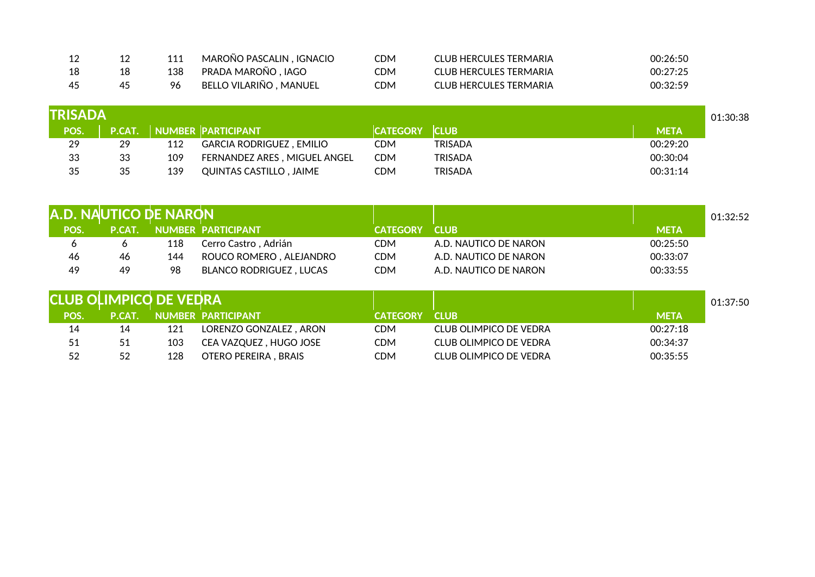| -- | 111 | MAROÑO PASCALIN , IGNACIO | CDM | CLUB HERCULES TERMARIA | 00:26:50 |
|----|-----|---------------------------|-----|------------------------|----------|
| 18 | 138 | PRADA MAROÑO , IAGO       | CDM | CLUB HERCULES TERMARIA | 00:27:25 |
| 45 |     | BELLO VILARIÑO, MANUEL    | CDM | CLUB HERCULES TERMARIA | 00:32:59 |

| <b>TRISADA</b> |    |     |                                 |                 |                |             | 01:30:38 |
|----------------|----|-----|---------------------------------|-----------------|----------------|-------------|----------|
| POS.           |    |     | P.CAT. NUMBER PARTICIPANT       | <b>CATEGORY</b> | <b>CLUB</b>    | <b>META</b> |          |
| 29             | 29 | 112 | <b>GARCIA RODRIGUEZ, EMILIO</b> | CDM             | <b>TRISADA</b> | 00:29:20    |          |
| 33             | 33 | 109 | FERNANDEZ ARES, MIGUEL ANGEL    | CDM             | <b>TRISADA</b> | 00:30:04    |          |
| 35             | 35 | 139 | QUINTAS CASTILLO, JAIME         | CDM             | <b>TRISADA</b> | 00:31:14    |          |

| A.D. NAUTICO DE NARON |               |     |                                |                 |                       |             | 01:32:52 |
|-----------------------|---------------|-----|--------------------------------|-----------------|-----------------------|-------------|----------|
| POS.                  | <b>P.CAT.</b> |     | NUMBER PARTICIPANT             | <b>CATEGORY</b> | <b>CLUB</b>           | <b>META</b> |          |
|                       |               | 118 | Cerro Castro , Adrián          | <b>CDM</b>      | A.D. NAUTICO DE NARON | 00:25:50    |          |
| 46                    | 46            | 144 | ROUCO ROMERO, ALEJANDRO        | <b>CDM</b>      | A.D. NAUTICO DE NARON | 00:33:07    |          |
| 49                    | 49            | 98  | <b>BLANCO RODRIGUEZ, LUCAS</b> | <b>CDM</b>      | A.D. NAUTICO DE NARON | 00:33:55    |          |

| <b>CLUB OLIMPICO DE VEDRA</b> |               |     |                         |                 |                               |             | 01:37:50 |
|-------------------------------|---------------|-----|-------------------------|-----------------|-------------------------------|-------------|----------|
| <b>POS</b>                    | <b>P.CAT.</b> |     | NUMBER PARTICIPANT      | <b>CATEGORY</b> | <b>CLUB</b>                   | <b>META</b> |          |
| 14                            | 14            | 121 | LORENZO GONZALEZ . ARON | CDM             | CLUB OLIMPICO DE VEDRA        | 00:27:18    |          |
| 51                            | 51            | 103 | CEA VAZQUEZ, HUGO JOSE  | CDM             | <b>CLUB OLIMPICO DE VEDRA</b> | 00:34:37    |          |
| 52                            | 52            | 128 | OTERO PEREIRA, BRAIS    | CDM             | <b>CLUB OLIMPICO DE VEDRA</b> | 00:35:55    |          |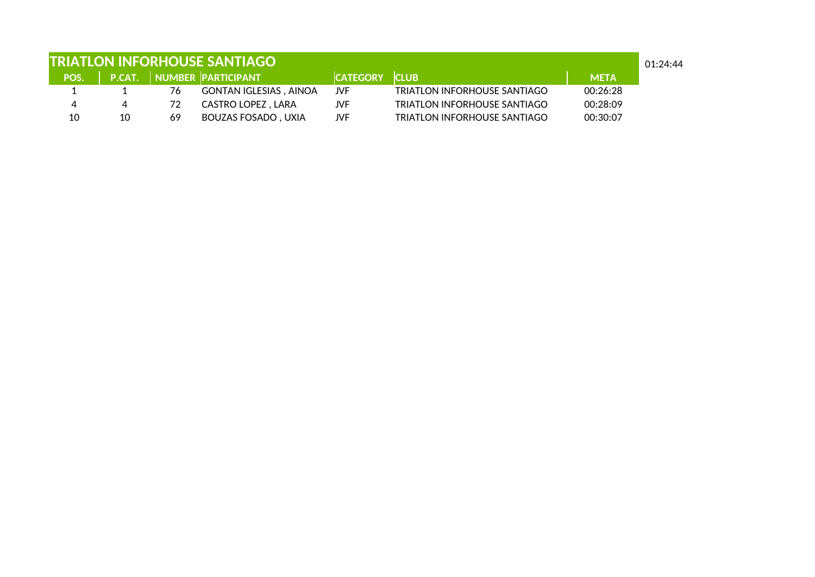| <b>TRIATLON INFORHOUSE SANTIAGO</b><br>01:24:44 |    |    |                               |                 |                                     |             |  |
|-------------------------------------------------|----|----|-------------------------------|-----------------|-------------------------------------|-------------|--|
| POS.                                            |    |    | P.CAT. NUMBER PARTICIPANT     | <b>CATEGORY</b> | <b>CLUB</b>                         | <b>META</b> |  |
|                                                 |    | 76 | <b>GONTAN IGLESIAS, AINOA</b> | JVF             | <b>TRIATLON INFORHOUSE SANTIAGO</b> | 00:26:28    |  |
|                                                 | 4  | 72 | CASTRO LOPEZ , LARA           | JVF             | TRIATLON INFORHOUSE SANTIAGO        | 00:28:09    |  |
| 10                                              | 10 | 69 | <b>BOUZAS FOSADO, UXIA</b>    | JVF             | TRIATLON INFORHOUSE SANTIAGO        | 00:30:07    |  |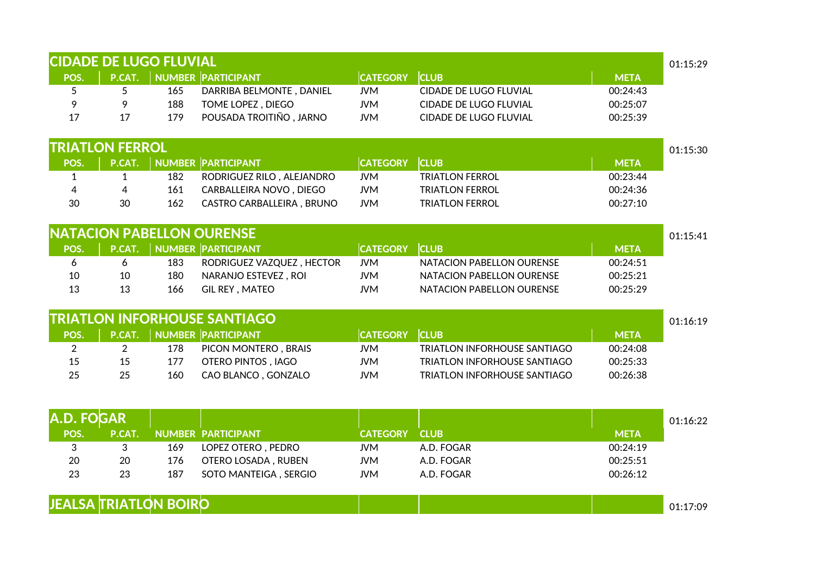| P.CAT.         | NUMBER PARTICIPANT   |                           |                                                                                                                                                                                                                      |                                     |             |             |
|----------------|----------------------|---------------------------|----------------------------------------------------------------------------------------------------------------------------------------------------------------------------------------------------------------------|-------------------------------------|-------------|-------------|
|                |                      |                           | <b>CATEGORY</b>                                                                                                                                                                                                      | <b>CLUB</b>                         | <b>META</b> |             |
| 5              | 165                  | DARRIBA BELMONTE, DANIEL  | <b>JVM</b>                                                                                                                                                                                                           | <b>CIDADE DE LUGO FLUVIAL</b>       | 00:24:43    |             |
| 9              | 188                  | TOME LOPEZ, DIEGO         | <b>JVM</b>                                                                                                                                                                                                           | CIDADE DE LUGO FLUVIAL              | 00:25:07    |             |
| 17             | 179                  | POUSADA TROITIÑO, JARNO   | <b>JVM</b>                                                                                                                                                                                                           | CIDADE DE LUGO FLUVIAL              | 00:25:39    |             |
|                |                      |                           |                                                                                                                                                                                                                      |                                     |             | 01:15:30    |
|                |                      |                           | <b>CATEGORY</b>                                                                                                                                                                                                      | <b>CLUB</b>                         | <b>META</b> |             |
| 1              | 182                  | RODRIGUEZ RILO, ALEJANDRO | <b>JVM</b>                                                                                                                                                                                                           | <b>TRIATLON FERROL</b>              | 00:23:44    |             |
| 4              | 161                  | CARBALLEIRA NOVO, DIEGO   | <b>JVM</b>                                                                                                                                                                                                           | <b>TRIATLON FERROL</b>              | 00:24:36    |             |
| 30             | 162                  | CASTRO CARBALLEIRA, BRUNO | <b>JVM</b>                                                                                                                                                                                                           | <b>TRIATLON FERROL</b>              | 00:27:10    |             |
|                |                      |                           |                                                                                                                                                                                                                      |                                     |             | 01:15:41    |
|                |                      |                           |                                                                                                                                                                                                                      | <b>CLUB</b>                         |             |             |
| 6              | 183                  | RODRIGUEZ VAZQUEZ, HECTOR | <b>JVM</b>                                                                                                                                                                                                           | NATACION PABELLON OURENSE           | 00:24:51    |             |
| 10             | 180                  | NARANJO ESTEVEZ, ROI      | <b>JVM</b>                                                                                                                                                                                                           | NATACION PABELLON OURENSE           | 00:25:21    |             |
| 13             | 166                  | GIL REY, MATEO            | <b>JVM</b>                                                                                                                                                                                                           | NATACION PABELLON OURENSE           | 00:25:29    |             |
|                |                      |                           |                                                                                                                                                                                                                      |                                     |             | 01:16:19    |
| P.CAT.         |                      |                           | <b>CATEGORY</b>                                                                                                                                                                                                      | <b>CLUB</b>                         | <b>META</b> |             |
| $\overline{2}$ | 178                  | PICON MONTERO, BRAIS      | <b>JVM</b>                                                                                                                                                                                                           | <b>TRIATLON INFORHOUSE SANTIAGO</b> | 00:24:08    |             |
| 15             | 177                  | OTERO PINTOS, IAGO        | <b>JVM</b>                                                                                                                                                                                                           | TRIATLON INFORHOUSE SANTIAGO        | 00:25:33    |             |
| 25             | 160                  | CAO BLANCO, GONZALO       | <b>JVM</b>                                                                                                                                                                                                           | TRIATLON INFORHOUSE SANTIAGO        | 00:26:38    |             |
|                |                      |                           |                                                                                                                                                                                                                      |                                     |             |             |
|                |                      |                           |                                                                                                                                                                                                                      |                                     |             | 01:16:22    |
| P.CAT.         |                      |                           | <b>CATEGORY</b>                                                                                                                                                                                                      | <b>CLUB</b>                         | <b>META</b> |             |
| 3              | 169                  | LOPEZ OTERO, PEDRO        | <b>JVM</b>                                                                                                                                                                                                           | A.D. FOGAR                          | 00:24:19    |             |
| 20             | 176                  | OTERO LOSADA, RUBEN       | <b>JVM</b>                                                                                                                                                                                                           | A.D. FOGAR                          | 00:25:51    |             |
| 23             | 187                  | SOTO MANTEIGA, SERGIO     | <b>JVM</b>                                                                                                                                                                                                           | A.D. FOGAR                          | 00:26:12    |             |
|                |                      |                           |                                                                                                                                                                                                                      |                                     |             | 01:17:09    |
|                | P.CAT.<br>A.D. FOGAR | <b>TRIATLON FERROL</b>    | <b>P.CAT.</b> NUMBER PARTICIPANT<br><b>NATACION PABELLON OURENSE</b><br>NUMBER PARTICIPANT<br><b>TRIATLON INFORHOUSE SANTIAGO</b><br>NUMBER PARTICIPANT<br><b>NUMBER PARTICIPANT</b><br><b>JEALSA TRIATLON BOIRO</b> | <b>CATEGORY</b>                     |             | <b>META</b> |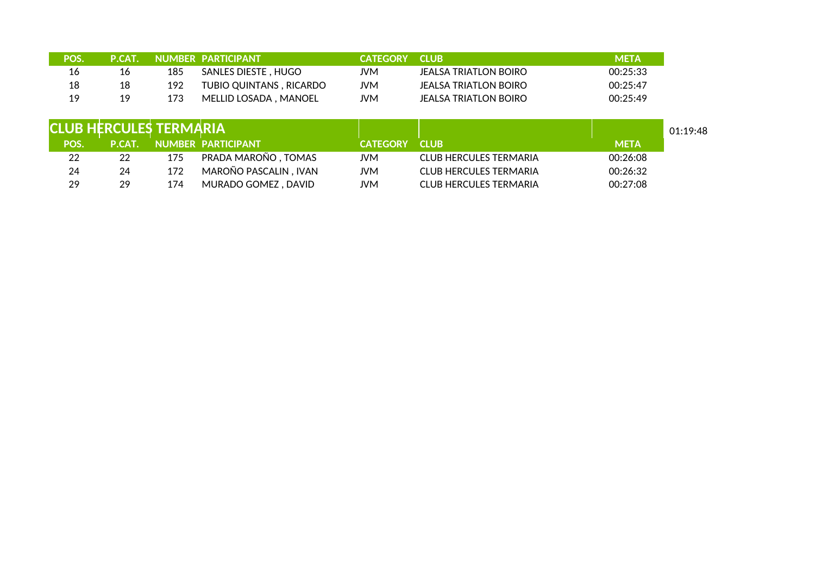| <b>POS!</b> | <b>P.CAT.</b> |     | NUMBER PARTICIPANT      | <b>CATEGORY</b> | <b>CLUB</b>             | <b>META</b> |
|-------------|---------------|-----|-------------------------|-----------------|-------------------------|-------------|
| 16          | 16            | 185 | SANLES DIESTE , HUGO    | JVM             | JEAI SA TRIATI ON BOIRO | 00:25:33    |
| 18          | 18            | 192 | TUBIO QUINTANS, RICARDO | JVM             | JEALSA TRIATLON BOIRO   | 00:25:47    |
| 19          | 19            | 173 | MELLID LOSADA, MANOEL   | JVM             | JEALSA TRIATLON BOIRO   | 00:25:49    |

| <b>CLUB HERCULES TERMARIA</b> |               |     |                       |                 |                               |             | 01:19:48 |
|-------------------------------|---------------|-----|-----------------------|-----------------|-------------------------------|-------------|----------|
| POS.                          | <b>P.CAT.</b> |     | NUMBER PARTICIPANT    | <b>CATEGORY</b> | <b>CLUB</b>                   | <b>META</b> |          |
| 22                            | 22            | 175 | PRADA MAROÑO , TOMAS  | <b>JVM</b>      | <b>CLUB HERCULES TERMARIA</b> | 00:26:08    |          |
| 24                            | 24            | 172 | MAROÑO PASCALIN, IVAN | JVM             | <b>CLUB HERCULES TERMARIA</b> | 00:26:32    |          |
| 29                            | 29            | 174 | MURADO GOMEZ, DAVID   | JVM             | <b>CLUB HERCULES TERMARIA</b> | 00:27:08    |          |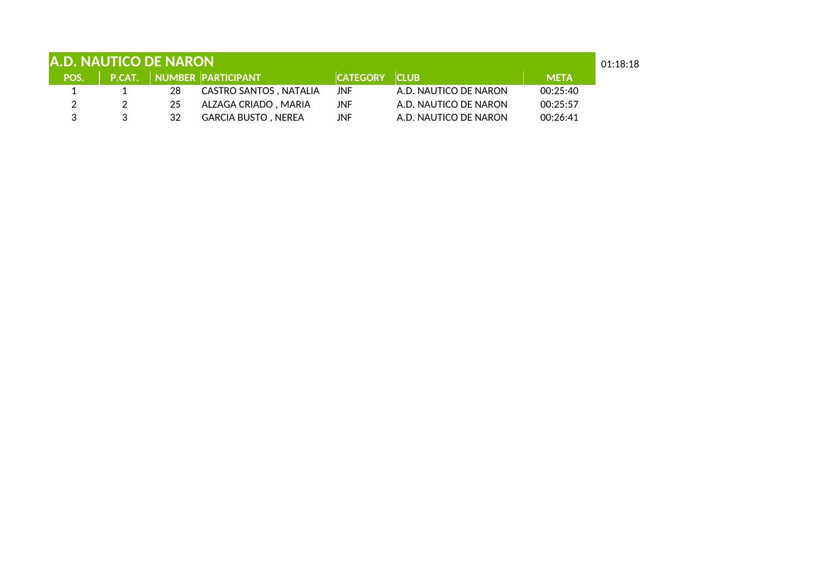| <b>A.D. NAUTICO DE NARON</b><br>01:18:18 |  |    |                                |                      |                       |             |  |
|------------------------------------------|--|----|--------------------------------|----------------------|-----------------------|-------------|--|
|                                          |  |    | POS. P.CAT. NUMBER PARTICIPANT | <b>CATEGORY CLUB</b> |                       | <b>META</b> |  |
|                                          |  | 28 | CASTRO SANTOS , NATALIA        | JNF.                 | A.D. NAUTICO DE NARON | 00:25:40    |  |
|                                          |  | 25 | ALZAGA CRIADO, MARIA           | JNF.                 | A.D. NAUTICO DE NARON | 00:25:57    |  |
|                                          |  | 32 | <b>GARCIA BUSTO, NEREA</b>     | JNF.                 | A.D. NAUTICO DE NARON | 00:26:41    |  |